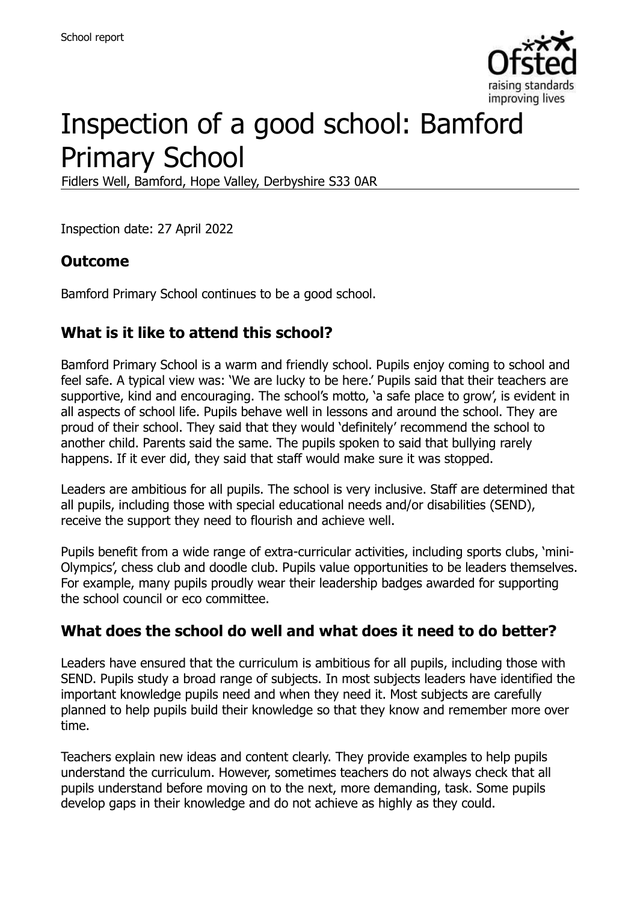

# Inspection of a good school: Bamford Primary School

Fidlers Well, Bamford, Hope Valley, Derbyshire S33 0AR

Inspection date: 27 April 2022

### **Outcome**

Bamford Primary School continues to be a good school.

### **What is it like to attend this school?**

Bamford Primary School is a warm and friendly school. Pupils enjoy coming to school and feel safe. A typical view was: 'We are lucky to be here.' Pupils said that their teachers are supportive, kind and encouraging. The school's motto, 'a safe place to grow', is evident in all aspects of school life. Pupils behave well in lessons and around the school. They are proud of their school. They said that they would 'definitely' recommend the school to another child. Parents said the same. The pupils spoken to said that bullying rarely happens. If it ever did, they said that staff would make sure it was stopped.

Leaders are ambitious for all pupils. The school is very inclusive. Staff are determined that all pupils, including those with special educational needs and/or disabilities (SEND), receive the support they need to flourish and achieve well.

Pupils benefit from a wide range of extra-curricular activities, including sports clubs, 'mini-Olympics', chess club and doodle club. Pupils value opportunities to be leaders themselves. For example, many pupils proudly wear their leadership badges awarded for supporting the school council or eco committee.

#### **What does the school do well and what does it need to do better?**

Leaders have ensured that the curriculum is ambitious for all pupils, including those with SEND. Pupils study a broad range of subjects. In most subjects leaders have identified the important knowledge pupils need and when they need it. Most subjects are carefully planned to help pupils build their knowledge so that they know and remember more over time.

Teachers explain new ideas and content clearly. They provide examples to help pupils understand the curriculum. However, sometimes teachers do not always check that all pupils understand before moving on to the next, more demanding, task. Some pupils develop gaps in their knowledge and do not achieve as highly as they could.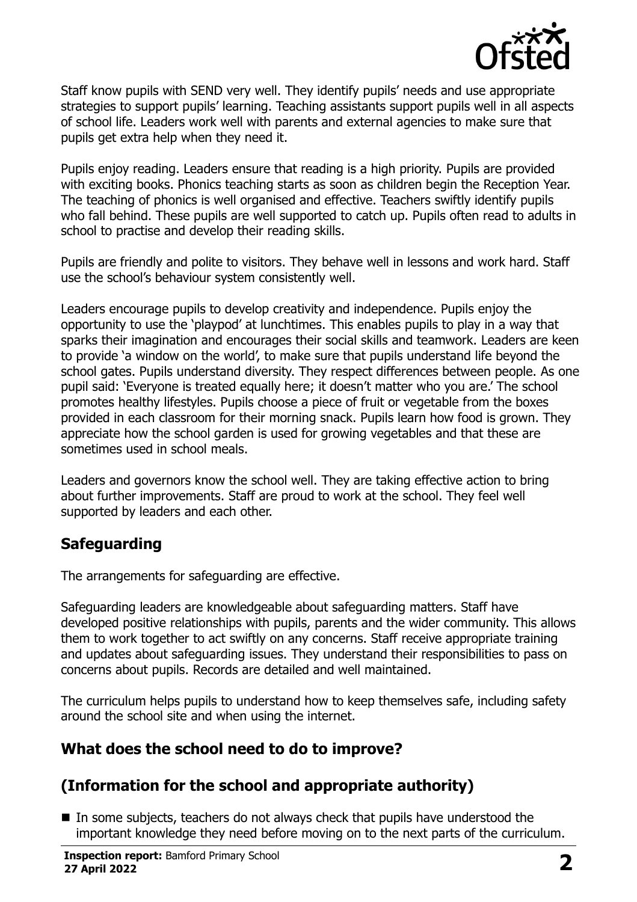

Staff know pupils with SEND very well. They identify pupils' needs and use appropriate strategies to support pupils' learning. Teaching assistants support pupils well in all aspects of school life. Leaders work well with parents and external agencies to make sure that pupils get extra help when they need it.

Pupils enjoy reading. Leaders ensure that reading is a high priority. Pupils are provided with exciting books. Phonics teaching starts as soon as children begin the Reception Year. The teaching of phonics is well organised and effective. Teachers swiftly identify pupils who fall behind. These pupils are well supported to catch up. Pupils often read to adults in school to practise and develop their reading skills.

Pupils are friendly and polite to visitors. They behave well in lessons and work hard. Staff use the school's behaviour system consistently well.

Leaders encourage pupils to develop creativity and independence. Pupils enjoy the opportunity to use the 'playpod' at lunchtimes. This enables pupils to play in a way that sparks their imagination and encourages their social skills and teamwork. Leaders are keen to provide 'a window on the world', to make sure that pupils understand life beyond the school gates. Pupils understand diversity. They respect differences between people. As one pupil said: 'Everyone is treated equally here; it doesn't matter who you are.' The school promotes healthy lifestyles. Pupils choose a piece of fruit or vegetable from the boxes provided in each classroom for their morning snack. Pupils learn how food is grown. They appreciate how the school garden is used for growing vegetables and that these are sometimes used in school meals.

Leaders and governors know the school well. They are taking effective action to bring about further improvements. Staff are proud to work at the school. They feel well supported by leaders and each other.

## **Safeguarding**

The arrangements for safeguarding are effective.

Safeguarding leaders are knowledgeable about safeguarding matters. Staff have developed positive relationships with pupils, parents and the wider community. This allows them to work together to act swiftly on any concerns. Staff receive appropriate training and updates about safeguarding issues. They understand their responsibilities to pass on concerns about pupils. Records are detailed and well maintained.

The curriculum helps pupils to understand how to keep themselves safe, including safety around the school site and when using the internet.

## **What does the school need to do to improve?**

## **(Information for the school and appropriate authority)**

■ In some subjects, teachers do not always check that pupils have understood the important knowledge they need before moving on to the next parts of the curriculum.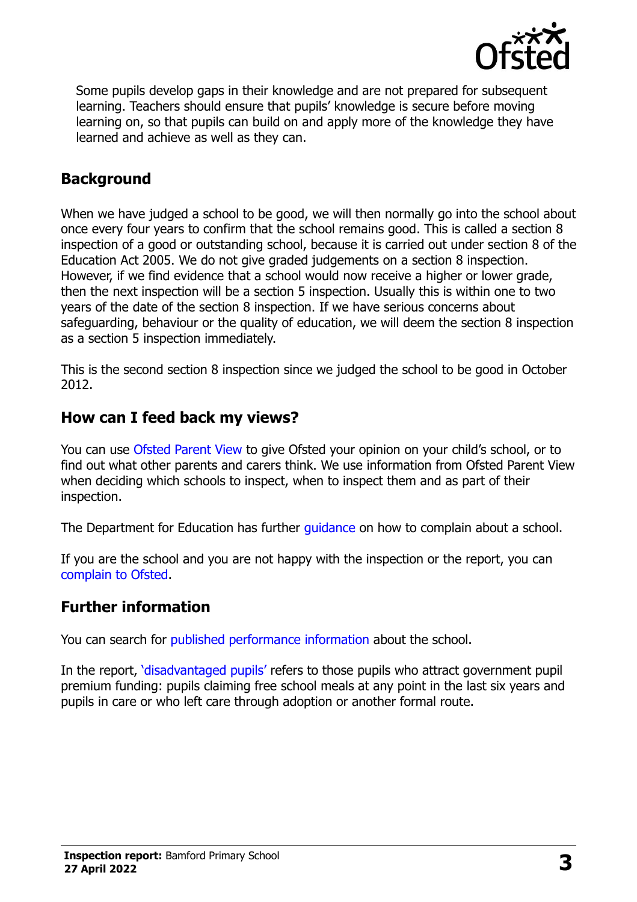

Some pupils develop gaps in their knowledge and are not prepared for subsequent learning. Teachers should ensure that pupils' knowledge is secure before moving learning on, so that pupils can build on and apply more of the knowledge they have learned and achieve as well as they can.

#### **Background**

When we have judged a school to be good, we will then normally go into the school about once every four years to confirm that the school remains good. This is called a section 8 inspection of a good or outstanding school, because it is carried out under section 8 of the Education Act 2005. We do not give graded judgements on a section 8 inspection. However, if we find evidence that a school would now receive a higher or lower grade, then the next inspection will be a section 5 inspection. Usually this is within one to two years of the date of the section 8 inspection. If we have serious concerns about safeguarding, behaviour or the quality of education, we will deem the section 8 inspection as a section 5 inspection immediately.

This is the second section 8 inspection since we judged the school to be good in October 2012.

#### **How can I feed back my views?**

You can use [Ofsted Parent View](https://parentview.ofsted.gov.uk/) to give Ofsted your opinion on your child's school, or to find out what other parents and carers think. We use information from Ofsted Parent View when deciding which schools to inspect, when to inspect them and as part of their inspection.

The Department for Education has further *guidance* on how to complain about a school.

If you are the school and you are not happy with the inspection or the report, you can [complain to Ofsted.](https://www.gov.uk/complain-ofsted-report)

#### **Further information**

You can search for [published performance information](http://www.compare-school-performance.service.gov.uk/) about the school.

In the report, '[disadvantaged pupils](http://www.gov.uk/guidance/pupil-premium-information-for-schools-and-alternative-provision-settings)' refers to those pupils who attract government pupil premium funding: pupils claiming free school meals at any point in the last six years and pupils in care or who left care through adoption or another formal route.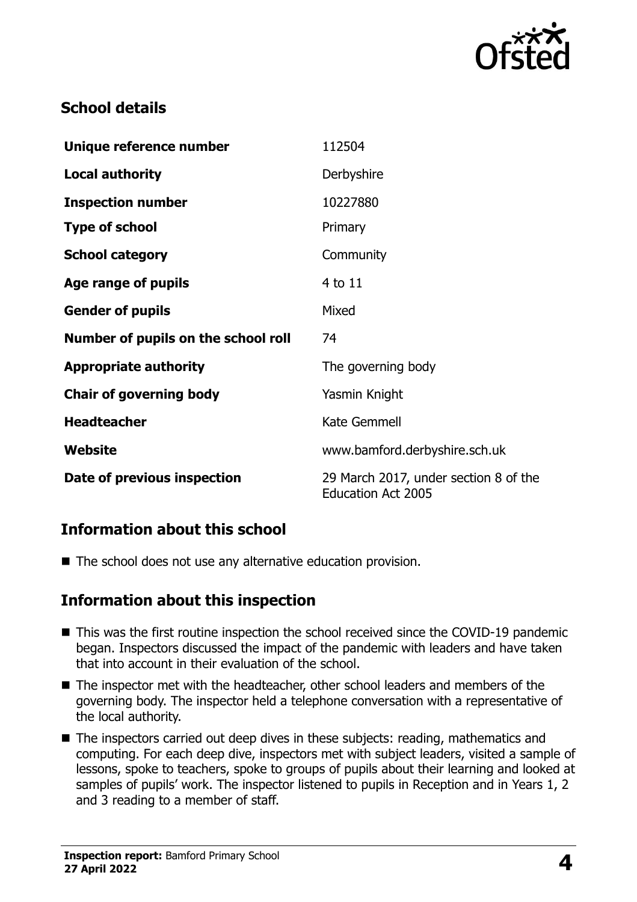

## **School details**

| Unique reference number             | 112504                                                             |
|-------------------------------------|--------------------------------------------------------------------|
| <b>Local authority</b>              | Derbyshire                                                         |
| <b>Inspection number</b>            | 10227880                                                           |
| <b>Type of school</b>               | Primary                                                            |
| <b>School category</b>              | Community                                                          |
| Age range of pupils                 | $4$ to $11$                                                        |
| <b>Gender of pupils</b>             | Mixed                                                              |
| Number of pupils on the school roll | 74                                                                 |
| <b>Appropriate authority</b>        | The governing body                                                 |
| <b>Chair of governing body</b>      | Yasmin Knight                                                      |
| <b>Headteacher</b>                  | Kate Gemmell                                                       |
| <b>Website</b>                      | www.bamford.derbyshire.sch.uk                                      |
| Date of previous inspection         | 29 March 2017, under section 8 of the<br><b>Education Act 2005</b> |

## **Information about this school**

■ The school does not use any alternative education provision.

## **Information about this inspection**

- This was the first routine inspection the school received since the COVID-19 pandemic began. Inspectors discussed the impact of the pandemic with leaders and have taken that into account in their evaluation of the school.
- The inspector met with the headteacher, other school leaders and members of the governing body. The inspector held a telephone conversation with a representative of the local authority.
- The inspectors carried out deep dives in these subjects: reading, mathematics and computing. For each deep dive, inspectors met with subject leaders, visited a sample of lessons, spoke to teachers, spoke to groups of pupils about their learning and looked at samples of pupils' work. The inspector listened to pupils in Reception and in Years 1, 2 and 3 reading to a member of staff.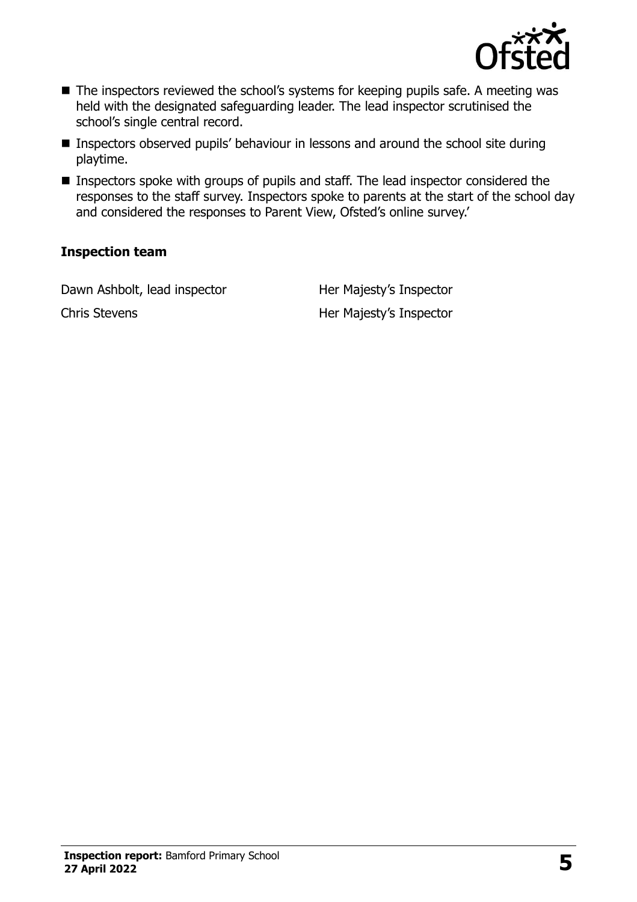

- The inspectors reviewed the school's systems for keeping pupils safe. A meeting was held with the designated safeguarding leader. The lead inspector scrutinised the school's single central record.
- Inspectors observed pupils' behaviour in lessons and around the school site during playtime.
- Inspectors spoke with groups of pupils and staff. The lead inspector considered the responses to the staff survey. Inspectors spoke to parents at the start of the school day and considered the responses to Parent View, Ofsted's online survey.'

#### **Inspection team**

Dawn Ashbolt, lead inspector Her Majesty's Inspector Chris Stevens **Her Majesty's Inspector**